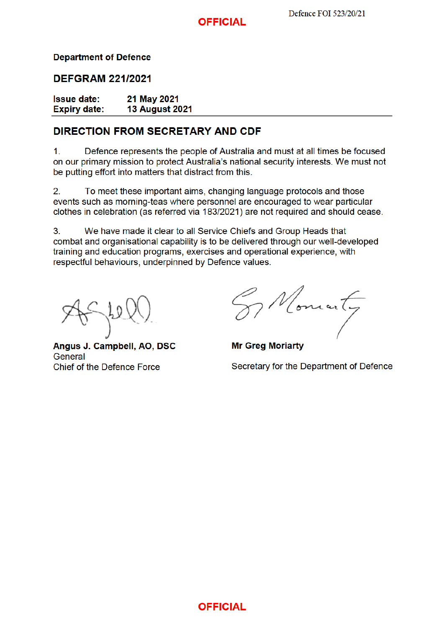### **OFFICIAL**

### **Department of Defence**

### **DEFGRAM 221/2021**

| <b>Issue date:</b>  | 21 May 2021           |
|---------------------|-----------------------|
| <b>Expiry date:</b> | <b>13 August 2021</b> |

### **DIRECTION FROM SECRETARY AND CDF**

 $1<sub>1</sub>$ Defence represents the people of Australia and must at all times be focused on our primary mission to protect Australia's national security interests. We must not be putting effort into matters that distract from this.

To meet these important aims, changing language protocols and those  $2.$ events such as morning-teas where personnel are encouraged to wear particular clothes in celebration (as referred via 183/2021) are not required and should cease.

We have made it clear to all Service Chiefs and Group Heads that 3. combat and organisational capability is to be delivered through our well-developed training and education programs, exercises and operational experience, with respectful behaviours, underpinned by Defence values.

Angus J. Campbell, AO, DSC General Chief of the Defence Force

Vomanty

**Mr Greg Moriarty** Secretary for the Department of Defence

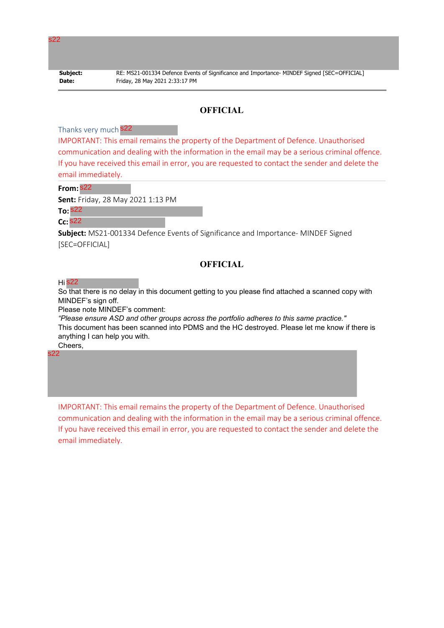| Subject |  |
|---------|--|
| Date:   |  |

**Subject:** RE: MS21-001334 Defence Events of Significance and Importance- MINDEF Signed [SEC=OFFICIAL] **Date:** Friday, 28 May 2021 2:33:17 PM

### **OFFICIAL**

Thanks very much 822

IMPORTANT: This email remains the property of the Department of Defence. Unauthorised communication and dealing with the information in the email may be a serious criminal offence. If you have received this email in error, you are requested to contact the sender and delete the email immediately.

**From:** s22

**Sent:** Friday, 28 May 2021 1:13 PM

**To:** s22

**Cc:** s22

**Subject:** MS21-001334 Defence Events of Significance and Importance- MINDEF Signed [SEC=OFFICIAL]

### **OFFICIAL**

Hi s22

So that there is no delay in this document getting to you please find attached a scanned copy with MINDEF's sign off.

Please note MINDEF's comment:

*"Please ensure ASD and other groups across the portfolio adheres to this same practice."* This document has been scanned into PDMS and the HC destroyed. Please let me know if there is anything I can help you with. Cheers,

s22

IMPORTANT: This email remains the property of the Department of Defence. Unauthorised communication and dealing with the information in the email may be a serious criminal offence. If you have received this email in error, you are requested to contact the sender and delete the email immediately.

s22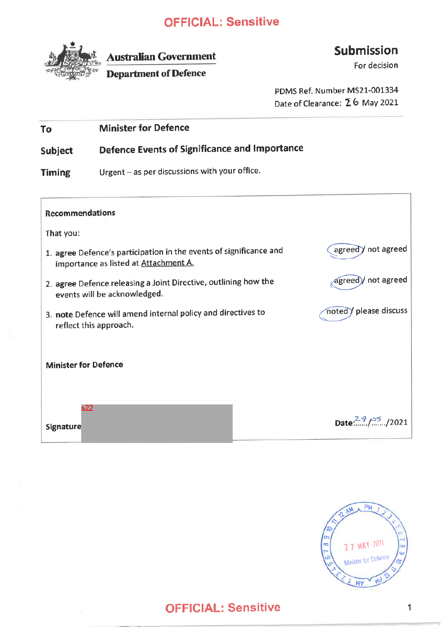

**Australian Government** 

**Department of Defence** 

# Submission

For decision

PDMS Ref. Number MS21-001334 Date of Clearance: 26 May 2021

| To | <b>Minister for Defence</b> |
|----|-----------------------------|
|    |                             |

**Defence Events of Significance and Importance** Subject

Urgent - as per discussions with your office. **Timing** 

| <b>Recommendations</b>                                                                                                |                               |
|-----------------------------------------------------------------------------------------------------------------------|-------------------------------|
| That you:                                                                                                             |                               |
| 1. agree Defence's participation in the events of significance and<br>importance as listed at Attachment A.           | agreed ) not agreed           |
| agreed) not agreed<br>2. agree Defence releasing a Joint Directive, outlining how the<br>events will be acknowledged. |                               |
| 3. note Defence will amend internal policy and directives to<br>reflect this approach.                                | noted / please discuss        |
| <b>Minister for Defence</b>                                                                                           |                               |
| s22<br><b>Signature</b>                                                                                               | Date: $^{29}$ / $^{25}$ /2021 |

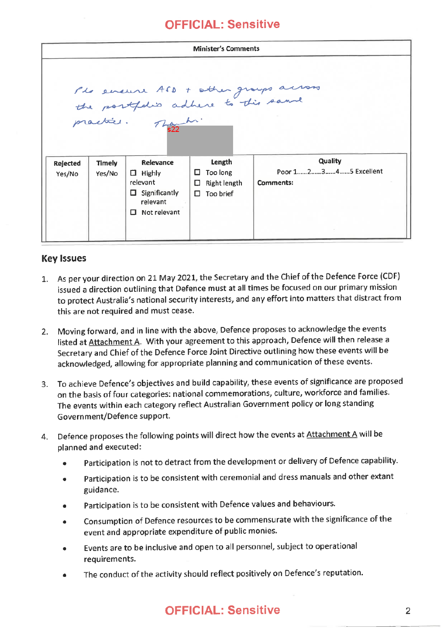|                    |                  |                                                                                                 | <b>Minister's Comments</b>                                |                                                                                                |
|--------------------|------------------|-------------------------------------------------------------------------------------------------|-----------------------------------------------------------|------------------------------------------------------------------------------------------------|
|                    |                  |                                                                                                 |                                                           | The ensure ASS + other groups across<br>the postfolis adhere to this same<br>practice. Touch : |
| Rejected<br>Yes/No | Timely<br>Yes/No | Relevance<br>$\Box$ Highly<br>relevant<br>$\Box$ Significantly<br>relevant<br>Not relevant<br>п | Length<br>Too long<br>Right length<br>□<br>Too brief<br>П | Quality<br>Poor 12345 Excellent<br><b>Comments:</b>                                            |

### **Key Issues**

- 1. As per your direction on 21 May 2021, the Secretary and the Chief of the Defence Force (CDF) issued a direction outlining that Defence must at all times be focused on our primary mission to protect Australia's national security interests, and any effort into matters that distract from this are not required and must cease.
- 2. Moving forward, and in line with the above, Defence proposes to acknowledge the events listed at Attachment A. With your agreement to this approach, Defence will then release a Secretary and Chief of the Defence Force Joint Directive outlining how these events will be acknowledged, allowing for appropriate planning and communication of these events.
- 3. To achieve Defence's objectives and build capability, these events of significance are proposed on the basis of four categories: national commemorations, culture, workforce and families. The events within each category reflect Australian Government policy or long standing Government/Defence support.
- 4. Defence proposes the following points will direct how the events at Attachment A will be planned and executed:
	- Participation is not to detract from the development or delivery of Defence capability.
	- Participation is to be consistent with ceremonial and dress manuals and other extant guidance.
	- Participation is to be consistent with Defence values and behaviours.
	- Consumption of Defence resources to be commensurate with the significance of the event and appropriate expenditure of public monies.
	- Events are to be inclusive and open to all personnel, subject to operational requirements.
	- The conduct of the activity should reflect positively on Defence's reputation.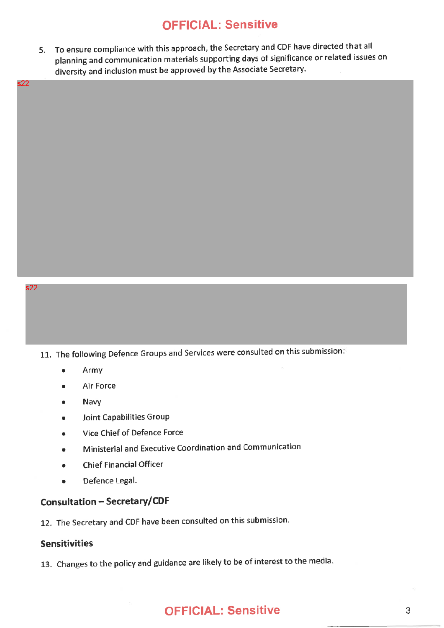5. To ensure compliance with this approach, the Secretary and CDF have directed that all planning and communication materials supporting days of significance or related issues on diversity and inclusion must be approved by the Associate Secretary.

s22

#### s22

11. The following Defence Groups and Services were consulted on this submission:

- Army  $\bullet$
- Air Force
- Navy
- Joint Capabilities Group
- Vice Chief of Defence Force
- Ministerial and Executive Coordination and Communication  $\bullet$
- **Chief Financial Officer**  $\bullet$
- Defence Legal.  $\bullet$

## **Consultation - Secretary/CDF**

12. The Secretary and CDF have been consulted on this submission.

### **Sensitivities**

13. Changes to the policy and guidance are likely to be of interest to the media.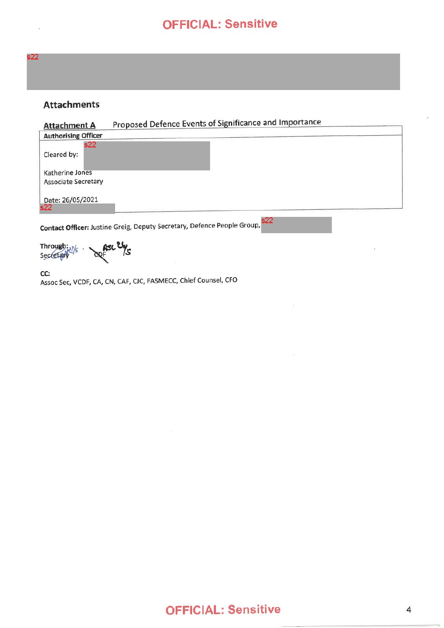

 $\overline{\phantom{a}}$ 

### **Attachments**

| <b>Attachment A</b>                    | Proposed Defence Events of Significance and Importance                         |
|----------------------------------------|--------------------------------------------------------------------------------|
| <b>Authorising Officer</b>             |                                                                                |
| s22.<br>Cleared by:                    |                                                                                |
| Katherine Jones<br>Associate Secretary |                                                                                |
| Date: 26/05/2021<br>s22                |                                                                                |
|                                        | s22<br>Contact Officer: Justine Greig, Deputy Secretary, Defence People Group, |

Through: 2% asc 24/s

CC: Assoc Sec, VCDF, CA, CN, CAF, CJC, FASMECC, Chief Counsel, CFO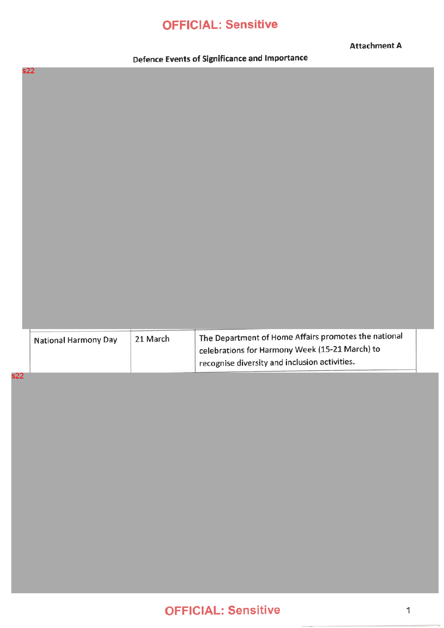**Attachment A** 

Defence Events of Significance and Importance

s22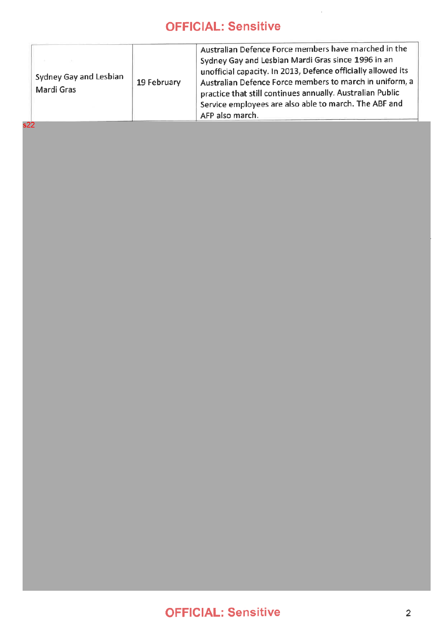| Sydney Gay and Lesbian<br>19 February<br>Mardi Gras<br>s22 | Australian Defence Force members have marched in the<br>Sydney Gay and Lesbian Mardi Gras since 1996 in an<br>unofficial capacity. In 2013, Defence officially allowed its<br>Australian Defence Force members to march in uniform, a<br>practice that still continues annually. Australian Public<br>Service employees are also able to march. The ABF and<br>AFP also march. |
|------------------------------------------------------------|--------------------------------------------------------------------------------------------------------------------------------------------------------------------------------------------------------------------------------------------------------------------------------------------------------------------------------------------------------------------------------|
|------------------------------------------------------------|--------------------------------------------------------------------------------------------------------------------------------------------------------------------------------------------------------------------------------------------------------------------------------------------------------------------------------------------------------------------------------|